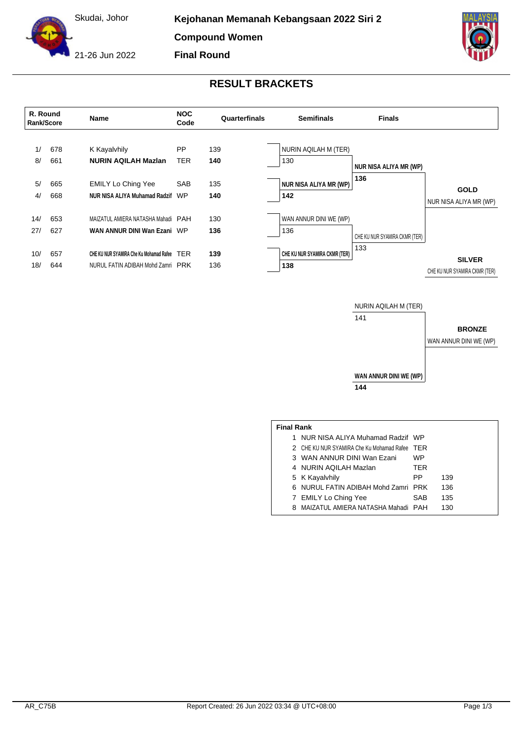Skudai, Johor

**Compound Women**

21-26 Jun 2022

**Final Round**



## **RESULT BRACKETS**



NURIN AQILAH M (TER) 141

**BRONZE**

WAN ANNUR DINI WE (WP)

**WAN ANNUR DINI WE (WP) 144**

| <b>Final Rank</b> |                                               |     |     |  |  |  |  |  |
|-------------------|-----------------------------------------------|-----|-----|--|--|--|--|--|
| 1.                | NUR NISA ALIYA Muhamad Radzif WP              |     |     |  |  |  |  |  |
|                   | 2 CHE KU NUR SYAMIRA Che Ku Mohamad Rafee TER |     |     |  |  |  |  |  |
|                   | 3 WAN ANNUR DINI Wan Ezani                    | WP  |     |  |  |  |  |  |
|                   | 4 NURIN AQILAH Mazlan                         | TER |     |  |  |  |  |  |
|                   | 5 K Kayalvhily                                | PP. | 139 |  |  |  |  |  |
|                   | 6 NURUL FATIN ADIBAH Mohd Zamri PRK           |     | 136 |  |  |  |  |  |
|                   | 7 EMILY Lo Ching Yee                          | SAB | 135 |  |  |  |  |  |
|                   | 8 MAIZATUL AMIERA NATASHA Mahadi PAH          |     | 130 |  |  |  |  |  |
|                   |                                               |     |     |  |  |  |  |  |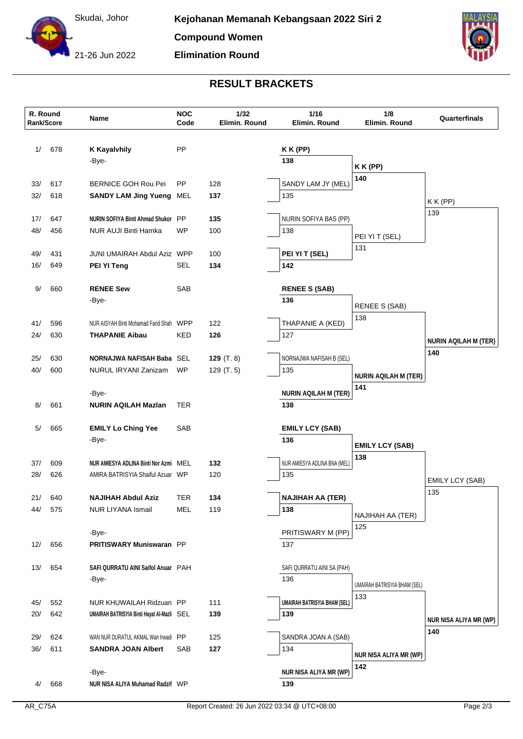



## **RESULT BRACKETS**

| R. Round<br>Rank/Score |     | Name                                       | <b>NOC</b><br>Code | 1/32<br>Elimin. Round | 1/16<br>Elimin. Round              | 1/8<br>Elimin. Round          | Quarterfinals               |
|------------------------|-----|--------------------------------------------|--------------------|-----------------------|------------------------------------|-------------------------------|-----------------------------|
| 1/                     | 678 | <b>K Kayalvhily</b>                        | PP                 |                       | K K (PP)                           |                               |                             |
|                        |     | -Bye-                                      |                    |                       | 138                                |                               |                             |
|                        |     |                                            |                    |                       |                                    | K K (PP)                      |                             |
| 33/                    | 617 | <b>BERNICE GOH Rou Pei</b>                 | PP                 | 128                   | SANDY LAM JY (MEL)                 | 140                           |                             |
| 32/                    | 618 | <b>SANDY LAM Jing Yueng MEL</b>            |                    | 137                   | 135                                |                               |                             |
|                        |     |                                            |                    |                       |                                    |                               | $KK$ (PP)                   |
| 17/                    | 647 | NURIN SOFIYA Binti Ahmad Shukor PP         |                    | 135                   | NURIN SOFIYA BAS (PP)              |                               | 139                         |
| 48/                    | 456 | NUR AUJI Binti Hamka                       | <b>WP</b>          | 100                   | 138                                | PEI YI T (SEL)                |                             |
|                        |     |                                            |                    |                       |                                    | 131                           |                             |
| 49/                    | 431 | <b>JUNI UMAIRAH Abdul Aziz WPP</b>         |                    | 100                   | PEI YI T (SEL)                     |                               |                             |
| 16/                    | 649 | PEI YI Teng                                | <b>SEL</b>         | 134                   | 142                                |                               |                             |
| 9/                     | 660 | <b>RENEE Sew</b>                           | SAB                |                       | <b>RENEE S (SAB)</b>               |                               |                             |
|                        |     | -Bye-                                      |                    |                       | 136                                |                               |                             |
|                        |     |                                            |                    |                       |                                    | <b>RENEE S (SAB)</b>          |                             |
| 41/                    | 596 | NUR AISYAH Binti Mohamad Farid Shah WPP    |                    | 122                   | THAPANIE A (KED)                   | 138                           |                             |
| 24/                    | 630 | <b>THAPANIE Aibau</b>                      | KED                | 126                   | 127                                |                               | <b>NURIN AQILAH M (TER)</b> |
|                        |     |                                            |                    |                       |                                    |                               | 140                         |
| 25/                    | 630 | NORNAJWA NAFISAH Baba SEL                  |                    | 129 $(T. 8)$          | NORNAJWA NAFISAH B (SEL)           |                               |                             |
| 40/                    | 600 | NURUL IRYANI Zanizam                       | <b>WP</b>          | 129 (T. 5)            | 135                                | <b>NURIN AQILAH M (TER)</b>   |                             |
|                        |     |                                            |                    |                       |                                    | 141                           |                             |
| 8/                     | 661 | -Bye-<br><b>NURIN AQILAH Mazlan</b>        | TER                |                       | <b>NURIN AQILAH M (TER)</b><br>138 |                               |                             |
|                        |     |                                            |                    |                       |                                    |                               |                             |
| 5/                     | 665 | <b>EMILY Lo Ching Yee</b>                  | SAB                |                       | <b>EMILY LCY (SAB)</b>             |                               |                             |
|                        |     | -Bye-                                      |                    |                       | 136                                |                               |                             |
|                        |     |                                            |                    |                       |                                    | <b>EMILY LCY (SAB)</b><br>138 |                             |
| 37/                    | 609 | NUR AMIESYA ADLINA Binti Nor Azmi MEL      |                    | 132                   | NUR AMIESYA ADLINA BNA (MEL)       |                               |                             |
| 28/                    | 626 | AMIRA BATRISYIA Shaiful Azuar WP           |                    | 120                   | 135                                |                               | <b>EMILY LCY (SAB)</b>      |
|                        |     |                                            |                    |                       |                                    |                               | 135                         |
| 21/                    | 640 | NAJIHAH Abdul Aziz                         | TER                | 134                   | <b>NAJIHAH AA (TER)</b>            |                               |                             |
| 44/                    | 575 | NUR LIYANA Ismail                          | MEL                | 119                   | 138                                | NAJIHAH AA (TER)              |                             |
|                        |     | -Bye-                                      |                    |                       | PRITISWARY M (PP)                  | 125                           |                             |
| 12/                    | 656 | PRITISWARY Muniswaran PP                   |                    |                       | 137                                |                               |                             |
|                        |     |                                            |                    |                       |                                    |                               |                             |
| 13/                    | 654 | SAFI QURRATU AINI Saifol Anuar PAH         |                    |                       | SAFI QURRATU AINI SA (PAH)         |                               |                             |
|                        |     | -Bye-                                      |                    |                       | 136                                | UMAIRAH BATRISYIA BHAM (SEL)  |                             |
|                        |     |                                            |                    |                       |                                    | 133                           |                             |
| 45/                    | 552 | NUR KHUWAILAH Ridzuan PP                   |                    | 111                   | UMAIRAH BATRISYIA BHAM (SEL)       |                               |                             |
| 20/                    | 642 | UMAIRAH BATRISYIA Binti Hayat Al-Mazli SEL |                    | 139                   | 139                                |                               | NUR NISA ALIYA MR (WP)      |
| 29/                    | 624 | WAN NUR DURATUL AKMAL Wan Irwadi PP        |                    | 125                   | SANDRA JOAN A (SAB)                |                               | 140                         |
| 36/                    | 611 | <b>SANDRA JOAN Albert</b>                  | SAB                | 127                   | 134                                |                               |                             |
|                        |     |                                            |                    |                       |                                    | <b>NUR NISA ALIYA MR (WP)</b> |                             |
|                        |     | -Bye-                                      |                    |                       | NUR NISA ALIYA MR (WP)             | 142                           |                             |
| 4/                     | 668 | NUR NISA ALIYA Muhamad Radzif WP           |                    |                       | 139                                |                               |                             |
|                        |     |                                            |                    |                       |                                    |                               |                             |